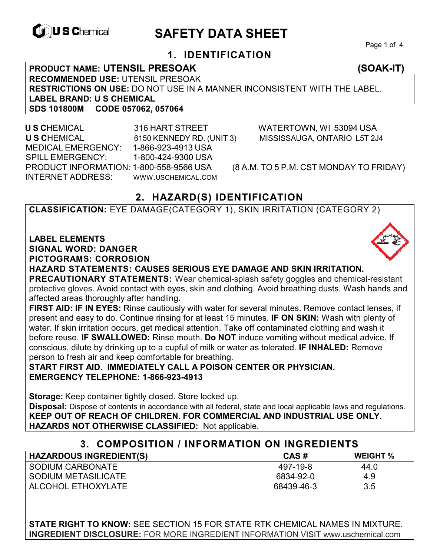

# **EXAGREM** SAFETY DATA SHEET

Page 1 of 4

# **1. IDENTIFICATION**

**PRODUCT NAME: UTENSIL PRESOAK (SOAK-IT) RECOMMENDED USE:** UTENSIL PRESOAK **RESTRICTIONS ON USE:** DO NOT USE IN A MANNER INCONSISTENT WITH THE LABEL. **LABEL BRAND: U S CHEMICAL SDS 101800M CODE 057062, 057064** 

 **U S C**HEMICAL 316 HART STREET WATERTOWN, WI 53094 USA **U S C**HEMICAL 6150 KENNEDY RD. (UNIT 3) MISSISSAUGA, ONTARIO L5T 2J4 MEDICAL EMERGENCY: 1-866-923-4913 USA SPILL EMERGENCY: 1-800-424-9300 USA PRODUCT INFORMATION: 1-800-558-9566 USA (8 A.M. TO 5 P.M. CST MONDAY TO FRIDAY) INTERNET ADDRESS: WWW.USCHEMICAL.COM

# **2. HAZARD(S) IDENTIFICATION**

**CLASSIFICATION:** EYE DAMAGE(CATEGORY 1), SKIN IRRITATION (CATEGORY 2)

**LABEL ELEMENTS** 

**SIGNAL WORD: DANGER**

**PICTOGRAMS: CORROSION**

**HAZARD STATEMENTS: CAUSES SERIOUS EYE DAMAGE AND SKIN IRRITATION. PRECAUTIONARY STATEMENTS:** Wear chemical-splash safety goggles and chemical-resistant protective gloves. Avoid contact with eyes, skin and clothing. Avoid breathing dusts. Wash hands and affected areas thoroughly after handling.

**FIRST AID: IF IN EYES:** Rinse cautiously with water for several minutes. Remove contact lenses, if present and easy to do. Continue rinsing for at least 15 minutes. **IF ON SKIN:** Wash with plenty of water. If skin irritation occurs, get medical attention. Take off contaminated clothing and wash it before reuse. **IF SWALLOWED:** Rinse mouth. **Do NOT** induce vomiting without medical advice. If conscious, dilute by drinking up to a cupful of milk or water as tolerated. **IF INHALED:** Remove person to fresh air and keep comfortable for breathing.

**START FIRST AID. IMMEDIATELY CALL A POISON CENTER OR PHYSICIAN. EMERGENCY TELEPHONE: 1-866-923-4913**

**Storage:** Keep container tightly closed. Store locked up. **Disposal:** Dispose of contents in accordance with all federal, state and local applicable laws and regulations. **KEEP OUT OF REACH OF CHILDREN. FOR COMMERCIAL AND INDUSTRIAL USE ONLY. HAZARDS NOT OTHERWISE CLASSIFIED:** Not applicable.

| 3. COMPOSITION / INFORMATION ON INGREDIENTS |            |                 |
|---------------------------------------------|------------|-----------------|
| <b>HAZARDOUS INGREDIENT(S)</b>              | CAS#       | <b>WEIGHT %</b> |
| SODIUM CARBONATE                            | 497-19-8   | 44.0            |
| SODIUM METASILICATE                         | 6834-92-0  | 4.9             |
| ALCOHOL ETHOXYLATE                          | 68439-46-3 | 3.5             |

**STATE RIGHT TO KNOW:** SEE SECTION 15 FOR STATE RTK CHEMICAL NAMES IN MIXTURE. **INGREDIENT DISCLOSURE:** FOR MORE INGREDIENT INFORMATION VISIT www.uschemical.com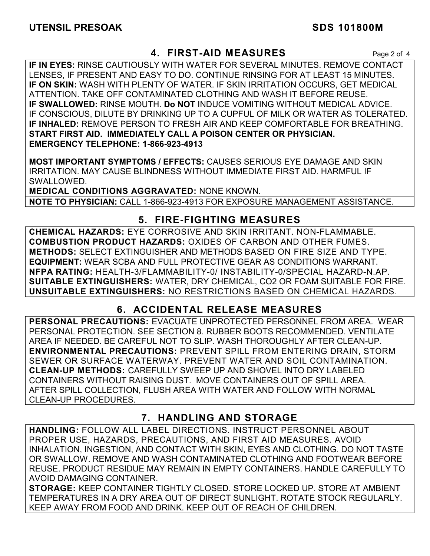# **4. FIRST-AID MEASURES** Page 2 of 4

**IF IN EYES:** RINSE CAUTIOUSLY WITH WATER FOR SEVERAL MINUTES. REMOVE CONTACT LENSES, IF PRESENT AND EASY TO DO. CONTINUE RINSING FOR AT LEAST 15 MINUTES. **IF ON SKIN:** WASH WITH PLENTY OF WATER. IF SKIN IRRITATION OCCURS, GET MEDICAL ATTENTION. TAKE OFF CONTAMINATED CLOTHING AND WASH IT BEFORE REUSE. **IF SWALLOWED:** RINSE MOUTH. **Do NOT** INDUCE VOMITING WITHOUT MEDICAL ADVICE. IF CONSCIOUS, DILUTE BY DRINKING UP TO A CUPFUL OF MILK OR WATER AS TOLERATED. **IF INHALED:** REMOVE PERSON TO FRESH AIR AND KEEP COMFORTABLE FOR BREATHING. **START FIRST AID. IMMEDIATELY CALL A POISON CENTER OR PHYSICIAN. EMERGENCY TELEPHONE: 1-866-923-4913**

**MOST IMPORTANT SYMPTOMS / EFFECTS:** CAUSES SERIOUS EYE DAMAGE AND SKIN IRRITATION. MAY CAUSE BLINDNESS WITHOUT IMMEDIATE FIRST AID. HARMFUL IF SWALLOWED.

**MEDICAL CONDITIONS AGGRAVATED:** NONE KNOWN. **NOTE TO PHYSICIAN:** CALL 1-866-923-4913 FOR EXPOSURE MANAGEMENT ASSISTANCE.

# **5. FIRE-FIGHTING MEASURES**

**CHEMICAL HAZARDS:** EYE CORROSIVE AND SKIN IRRITANT. NON-FLAMMABLE. **COMBUSTION PRODUCT HAZARDS:** OXIDES OF CARBON AND OTHER FUMES. **METHODS:** SELECT EXTINGUISHER AND METHODS BASED ON FIRE SIZE AND TYPE. **EQUIPMENT:** WEAR SCBA AND FULL PROTECTIVE GEAR AS CONDITIONS WARRANT. **NFPA RATING:** HEALTH-3/FLAMMABILITY-0/ INSTABILITY-0/SPECIAL HAZARD-N.AP. **SUITABLE EXTINGUISHERS:** WATER, DRY CHEMICAL, CO2 OR FOAM SUITABLE FOR FIRE. **UNSUITABLE EXTINGUISHERS:** NO RESTRICTIONS BASED ON CHEMICAL HAZARDS.

# **6. ACCIDENTAL RELEASE MEASURES**

**PERSONAL PRECAUTIONS:** EVACUATE UNPROTECTED PERSONNEL FROM AREA. WEAR PERSONAL PROTECTION. SEE SECTION 8. RUBBER BOOTS RECOMMENDED. VENTILATE AREA IF NEEDED. BE CAREFUL NOT TO SLIP. WASH THOROUGHLY AFTER CLEAN-UP. **ENVIRONMENTAL PRECAUTIONS:** PREVENT SPILL FROM ENTERING DRAIN, STORM SEWER OR SURFACE WATERWAY. PREVENT WATER AND SOIL CONTAMINATION. **CLEAN-UP METHODS:** CAREFULLY SWEEP UP AND SHOVEL INTO DRY LABELED CONTAINERS WITHOUT RAISING DUST. MOVE CONTAINERS OUT OF SPILL AREA. AFTER SPILL COLLECTION, FLUSH AREA WITH WATER AND FOLLOW WITH NORMAL CLEAN-UP PROCEDURES.

# **7. HANDLING AND STORAGE**

**HANDLING:** FOLLOW ALL LABEL DIRECTIONS. INSTRUCT PERSONNEL ABOUT PROPER USE, HAZARDS, PRECAUTIONS, AND FIRST AID MEASURES. AVOID INHALATION, INGESTION, AND CONTACT WITH SKIN, EYES AND CLOTHING. DO NOT TASTE OR SWALLOW. REMOVE AND WASH CONTAMINATED CLOTHING AND FOOTWEAR BEFORE REUSE. PRODUCT RESIDUE MAY REMAIN IN EMPTY CONTAINERS. HANDLE CAREFULLY TO AVOID DAMAGING CONTAINER.

**STORAGE:** KEEP CONTAINER TIGHTLY CLOSED. STORE LOCKED UP. STORE AT AMBIENT TEMPERATURES IN A DRY AREA OUT OF DIRECT SUNLIGHT. ROTATE STOCK REGULARLY. KEEP AWAY FROM FOOD AND DRINK. KEEP OUT OF REACH OF CHILDREN.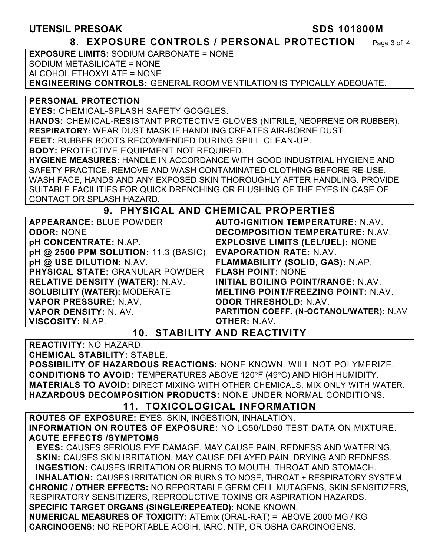### **UTENSIL PRESOAK SDS 101800M**

#### **8. EXPOSURE CONTROLS / PERSONAL PROTECTION** Page 3 of 4

**EXPOSURE LIMITS:** SODIUM CARBONATE = NONE SODIUM METASILICATE = NONE ALCOHOL ETHOXYLATE = NONE **ENGINEERING CONTROLS:** GENERAL ROOM VENTILATION IS TYPICALLY ADEQUATE.

#### **PERSONAL PROTECTION**

**EYES:** CHEMICAL-SPLASH SAFETY GOGGLES.

**HANDS:** CHEMICAL-RESISTANT PROTECTIVE GLOVES (NITRILE, NEOPRENE OR RUBBER). **RESPIRATORY:** WEAR DUST MASK IF HANDLING CREATES AIR-BORNE DUST.

**FEET:** RUBBER BOOTS RECOMMENDED DURING SPILL CLEAN-UP.

**BODY:** PROTECTIVE EQUIPMENT NOT REQUIRED.

**HYGIENE MEASURES:** HANDLE IN ACCORDANCE WITH GOOD INDUSTRIAL HYGIENE AND SAFETY PRACTICE. REMOVE AND WASH CONTAMINATED CLOTHING BEFORE RE-USE. WASH FACE, HANDS AND ANY EXPOSED SKIN THOROUGHLY AFTER HANDLING. PROVIDE SUITABLE FACILITIES FOR QUICK DRENCHING OR FLUSHING OF THE EYES IN CASE OF CONTACT OR SPLASH HAZARD.

#### **9. PHYSICAL AND CHEMICAL PROPERTIES**

**APPEARANCE:** BLUE POWDER **ODOR:** NONE **pH CONCENTRATE:** N.AP. **pH @ 2500 PPM SOLUTION:** 11.3 (BASIC) **pH @ USE DILUTION:** N.AV. **PHYSICAL STATE:** GRANULAR POWDER **RELATIVE DENSITY (WATER):** N.AV. **SOLUBILITY (WATER):** MODERATE **VAPOR PRESSURE:** N.AV. **VAPOR DENSITY:** N. AV. **VISCOSITY:** N.AP.

**AUTO-IGNITION TEMPERATURE:** N.AV. **DECOMPOSITION TEMPERATURE:** N.AV. **EXPLOSIVE LIMITS (LEL/UEL):** NONE **EVAPORATION RATE:** N.AV. **FLAMMABILITY (SOLID, GAS):** N.AP. **FLASH POINT:** NONE **INITIAL BOILING POINT/RANGE:** N.AV. **MELTING POINT/FREEZING POINT:** N.AV. **ODOR THRESHOLD:** N.AV. **PARTITION COEFF. (N-OCTANOL/WATER):** N.AV **OTHER:** N.AV.

# **10. STABILITY AND REACTIVITY**

**REACTIVITY:** NO HAZARD.

**CHEMICAL STABILITY:** STABLE.

**POSSIBILITY OF HAZARDOUS REACTIONS:** NONE KNOWN. WILL NOT POLYMERIZE. **CONDITIONS TO AVOID: TEMPERATURES ABOVE 120°F (49°C) AND HIGH HUMIDITY. MATERIALS TO AVOID:** DIRECT MIXING WITH OTHER CHEMICALS. MIX ONLY WITH WATER. **HAZARDOUS DECOMPOSITION PRODUCTS:** NONE UNDER NORMAL CONDITIONS.

### **11. TOXICOLOGICAL INFORMATION**

**ROUTES OF EXPOSURE:** EYES, SKIN, INGESTION, INHALATION. **INFORMATION ON ROUTES OF EXPOSURE:** NO LC50/LD50 TEST DATA ON MIXTURE. **ACUTE EFFECTS /SYMPTOMS**

 **EYES:** CAUSES SERIOUS EYE DAMAGE. MAY CAUSE PAIN, REDNESS AND WATERING. **SKIN:** CAUSES SKIN IRRITATION. MAY CAUSE DELAYED PAIN, DRYING AND REDNESS. **INGESTION:** CAUSES IRRITATION OR BURNS TO MOUTH, THROAT AND STOMACH. **INHALATION:** CAUSES IRRITATION OR BURNS TO NOSE, THROAT + RESPIRATORY SYSTEM. **CHRONIC / OTHER EFFECTS:** NO REPORTABLE GERM CELL MUTAGENS, SKIN SENSITIZERS, RESPIRATORY SENSITIZERS, REPRODUCTIVE TOXINS OR ASPIRATION HAZARDS.

**SPECIFIC TARGET ORGANS (SINGLE/REPEATED):** NONE KNOWN. **NUMERICAL MEASURES OF TOXICITY:** ATEmix (ORAL-RAT) = ABOVE 2000 MG / KG

**CARCINOGENS:** NO REPORTABLE ACGIH, IARC, NTP, OR OSHA CARCINOGENS.